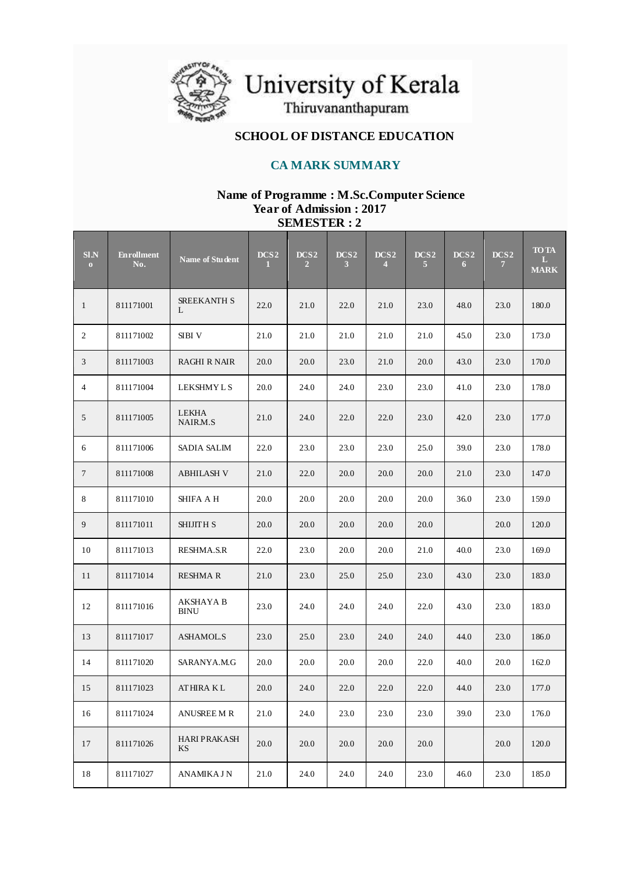

University of Kerala<br>Thiruvananthapuram

## **SCHOOL OF DISTANCE EDUCATION**

## **CA MARK SUMMARY**

### **Name of Programme : M.Sc.Computer Science Year of Admission : 2017 SEMESTER : 2**

| S1.N<br>$\mathbf{O}$ | <b>Enrollment</b><br>No. | Name of Student                 | DCS <sub>2</sub><br>1. | DCS <sub>2</sub><br>$\overline{2}$ | DCS <sub>2</sub><br>$\mathbf{3}$ | DCS <sub>2</sub><br>$\overline{4}$ | DCS <sub>2</sub><br>5 | DCS <sub>2</sub><br>6 | DCS <sub>2</sub><br>$\mathbf{7}$ | <b>TO TA</b><br>L<br><b>MARK</b> |
|----------------------|--------------------------|---------------------------------|------------------------|------------------------------------|----------------------------------|------------------------------------|-----------------------|-----------------------|----------------------------------|----------------------------------|
| $\mathbf{1}$         | 811171001                | <b>SREEKANTH S</b><br>L         | 22.0                   | 21.0                               | 22.0                             | 21.0                               | 23.0                  | 48.0                  | 23.0                             | 180.0                            |
| 2                    | 811171002                | <b>SIBI V</b>                   | 21.0                   | 21.0                               | 21.0                             | 21.0                               | 21.0                  | 45.0                  | 23.0                             | 173.0                            |
| 3                    | 811171003                | <b>RAGHI R NAIR</b>             | 20.0                   | 20.0                               | 23.0                             | 21.0                               | 20.0                  | 43.0                  | 23.0                             | 170.0                            |
| $\overline{4}$       | 811171004                | LEKSHMY L S                     | 20.0                   | 24.0                               | 24.0                             | 23.0                               | 23.0                  | 41.0                  | 23.0                             | 178.0                            |
| 5                    | 811171005                | <b>LEKHA</b><br>NAIR.M.S        | 21.0                   | 24.0                               | 22.0                             | 22.0                               | 23.0                  | 42.0                  | 23.0                             | 177.0                            |
| 6                    | 811171006                | SADIA SALIM                     | 22.0                   | 23.0                               | 23.0                             | 23.0                               | 25.0                  | 39.0                  | 23.0                             | 178.0                            |
| $\tau$               | 811171008                | <b>ABHILASH V</b>               | 21.0                   | 22.0                               | 20.0                             | 20.0                               | 20.0                  | 21.0                  | 23.0                             | 147.0                            |
| 8                    | 811171010                | SHIFA A H                       | $20.0\,$               | 20.0                               | 20.0                             | 20.0                               | 20.0                  | 36.0                  | 23.0                             | 159.0                            |
| 9                    | 811171011                | <b>SHIJITH S</b>                | 20.0                   | 20.0                               | 20.0                             | 20.0                               | 20.0                  |                       | 20.0                             | 120.0                            |
| 10                   | 811171013                | <b>RESHMA.S.R</b>               | 22.0                   | 23.0                               | 20.0                             | 20.0                               | 21.0                  | 40.0                  | 23.0                             | 169.0                            |
| 11                   | 811171014                | <b>RESHMA R</b>                 | 21.0                   | 23.0                               | 25.0                             | 25.0                               | 23.0                  | 43.0                  | 23.0                             | 183.0                            |
| 12                   | 811171016                | <b>AKSHAYA B</b><br><b>BINU</b> | 23.0                   | 24.0                               | 24.0                             | 24.0                               | 22.0                  | 43.0                  | 23.0                             | 183.0                            |
| 13                   | 811171017                | <b>ASHAMOL.S</b>                | 23.0                   | 25.0                               | 23.0                             | 24.0                               | 24.0                  | 44.0                  | 23.0                             | 186.0                            |
| 14                   | 811171020                | SARANYA.M.G                     | 20.0                   | 20.0                               | 20.0                             | 20.0                               | 22.0                  | 40.0                  | 20.0                             | 162.0                            |
| 15                   | 811171023                | <b>ATHIRA KL</b>                | 20.0                   | 24.0                               | 22.0                             | 22.0                               | 22.0                  | 44.0                  | 23.0                             | 177.0                            |
| 16                   | 811171024                | <b>ANUSREE M R</b>              | 21.0                   | 24.0                               | 23.0                             | 23.0                               | 23.0                  | 39.0                  | 23.0                             | 176.0                            |
| 17                   | 811171026                | <b>HARI PRAKASH</b><br>KS       | 20.0                   | 20.0                               | 20.0                             | 20.0                               | 20.0                  |                       | 20.0                             | 120.0                            |
| 18                   | 811171027                | ANAMIKA J N                     | 21.0                   | 24.0                               | 24.0                             | 24.0                               | 23.0                  | 46.0                  | 23.0                             | 185.0                            |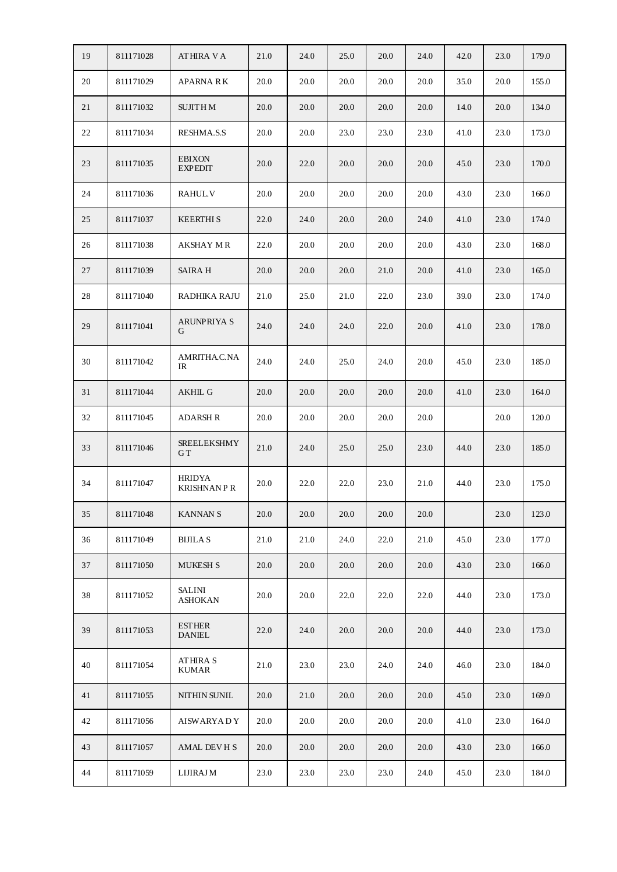| 19 | 811171028 | ATHIRA V A                      | 21.0     | 24.0     | 25.0     | 20.0     | 24.0 | 42.0 | 23.0     | 179.0 |
|----|-----------|---------------------------------|----------|----------|----------|----------|------|------|----------|-------|
| 20 | 811171029 | <b>APARNA RK</b>                | 20.0     | 20.0     | 20.0     | 20.0     | 20.0 | 35.0 | 20.0     | 155.0 |
| 21 | 811171032 | <b>SUJITHM</b>                  | 20.0     | 20.0     | 20.0     | 20.0     | 20.0 | 14.0 | 20.0     | 134.0 |
| 22 | 811171034 | <b>RESHMA.S.S</b>               | 20.0     | 20.0     | 23.0     | 23.0     | 23.0 | 41.0 | 23.0     | 173.0 |
| 23 | 811171035 | <b>EBIXON</b><br><b>EXPEDIT</b> | 20.0     | 22.0     | 20.0     | 20.0     | 20.0 | 45.0 | 23.0     | 170.0 |
| 24 | 811171036 | <b>RAHULV</b>                   | 20.0     | 20.0     | 20.0     | 20.0     | 20.0 | 43.0 | 23.0     | 166.0 |
| 25 | 811171037 | <b>KEERTHIS</b>                 | 22.0     | 24.0     | 20.0     | 20.0     | 24.0 | 41.0 | 23.0     | 174.0 |
| 26 | 811171038 | AKSHAY M R                      | 22.0     | 20.0     | 20.0     | 20.0     | 20.0 | 43.0 | 23.0     | 168.0 |
| 27 | 811171039 | <b>SAIRA H</b>                  | 20.0     | 20.0     | 20.0     | 21.0     | 20.0 | 41.0 | 23.0     | 165.0 |
| 28 | 811171040 | RADHIKA RAJU                    | 21.0     | 25.0     | 21.0     | 22.0     | 23.0 | 39.0 | 23.0     | 174.0 |
| 29 | 811171041 | <b>ARUNPRIYA S</b><br>G         | 24.0     | 24.0     | 24.0     | 22.0     | 20.0 | 41.0 | 23.0     | 178.0 |
| 30 | 811171042 | AMRITHA.C.NA<br>IR              | 24.0     | 24.0     | 25.0     | 24.0     | 20.0 | 45.0 | 23.0     | 185.0 |
| 31 | 811171044 | <b>AKHIL G</b>                  | 20.0     | 20.0     | 20.0     | 20.0     | 20.0 | 41.0 | 23.0     | 164.0 |
| 32 | 811171045 | ADARSH R                        | 20.0     | 20.0     | 20.0     | 20.0     | 20.0 |      | 20.0     | 120.0 |
| 33 | 811171046 | <b>SREELEKSHMY</b><br>GT        | 21.0     | 24.0     | 25.0     | 25.0     | 23.0 | 44.0 | 23.0     | 185.0 |
| 34 | 811171047 | <b>HRIDYA</b><br>KRISHNAN P R   | 20.0     | 22.0     | 22.0     | 23.0     | 21.0 | 44.0 | 23.0     | 175.0 |
| 35 | 811171048 | <b>KANNAN S</b>                 | $20.0\,$ | $20.0\,$ | $20.0\,$ | $20.0\,$ | 20.0 |      | $23.0\,$ | 123.0 |
| 36 | 811171049 | <b>BIJILAS</b>                  | 21.0     | 21.0     | 24.0     | 22.0     | 21.0 | 45.0 | 23.0     | 177.0 |
| 37 | 811171050 | <b>MUKESH S</b>                 | 20.0     | 20.0     | 20.0     | 20.0     | 20.0 | 43.0 | 23.0     | 166.0 |
| 38 | 811171052 | <b>SALINI</b><br><b>ASHOKAN</b> | 20.0     | 20.0     | 22.0     | 22.0     | 22.0 | 44.0 | 23.0     | 173.0 |
| 39 | 811171053 | <b>ESTHER</b><br><b>DANIEL</b>  | 22.0     | 24.0     | 20.0     | 20.0     | 20.0 | 44.0 | 23.0     | 173.0 |
| 40 | 811171054 | <b>ATHIRA S</b><br><b>KUMAR</b> | 21.0     | 23.0     | 23.0     | 24.0     | 24.0 | 46.0 | 23.0     | 184.0 |
| 41 | 811171055 | NITHIN SUNIL                    | 20.0     | 21.0     | 20.0     | 20.0     | 20.0 | 45.0 | 23.0     | 169.0 |
| 42 | 811171056 | <b>AISWARYADY</b>               | 20.0     | 20.0     | 20.0     | 20.0     | 20.0 | 41.0 | 23.0     | 164.0 |
| 43 | 811171057 | AMAL DEVHS                      | 20.0     | 20.0     | 20.0     | 20.0     | 20.0 | 43.0 | 23.0     | 166.0 |
| 44 | 811171059 | <b>LIJIRAJ M</b>                | 23.0     | 23.0     | 23.0     | 23.0     | 24.0 | 45.0 | 23.0     | 184.0 |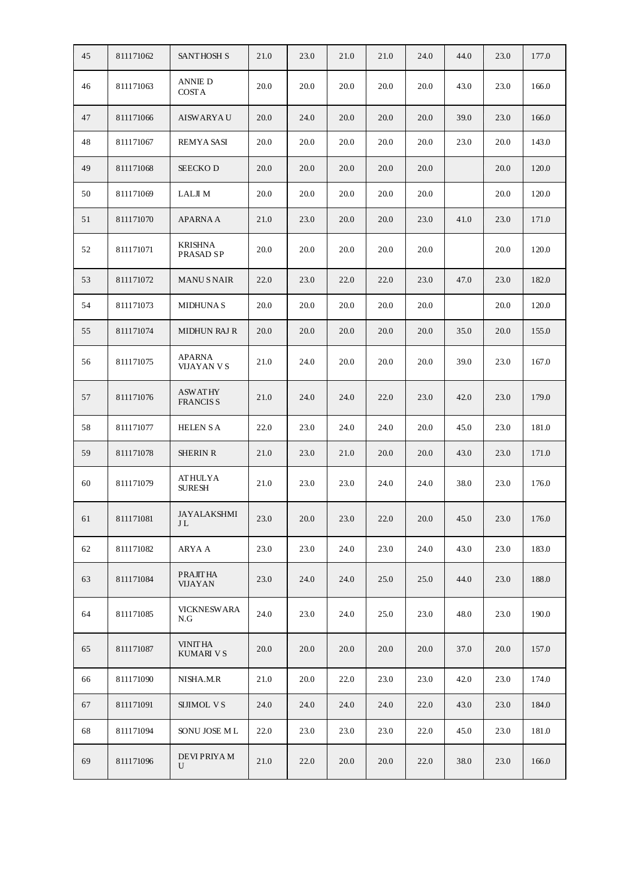| 45 | 811171062 | <b>SANTHOSH S</b>                 | 21.0 | 23.0 | 21.0 | 21.0 | 24.0 | 44.0 | 23.0 | 177.0 |
|----|-----------|-----------------------------------|------|------|------|------|------|------|------|-------|
| 46 | 811171063 | ANNIE D<br><b>COSTA</b>           | 20.0 | 20.0 | 20.0 | 20.0 | 20.0 | 43.0 | 23.0 | 166.0 |
| 47 | 811171066 | <b>AISWARYAU</b>                  | 20.0 | 24.0 | 20.0 | 20.0 | 20.0 | 39.0 | 23.0 | 166.0 |
| 48 | 811171067 | <b>REMYA SASI</b>                 | 20.0 | 20.0 | 20.0 | 20.0 | 20.0 | 23.0 | 20.0 | 143.0 |
| 49 | 811171068 | <b>SEECKOD</b>                    | 20.0 | 20.0 | 20.0 | 20.0 | 20.0 |      | 20.0 | 120.0 |
| 50 | 811171069 | LALJI M                           | 20.0 | 20.0 | 20.0 | 20.0 | 20.0 |      | 20.0 | 120.0 |
| 51 | 811171070 | <b>APARNA A</b>                   | 21.0 | 23.0 | 20.0 | 20.0 | 23.0 | 41.0 | 23.0 | 171.0 |
| 52 | 811171071 | <b>KRISHNA</b><br>PRASAD SP       | 20.0 | 20.0 | 20.0 | 20.0 | 20.0 |      | 20.0 | 120.0 |
| 53 | 811171072 | <b>MANUS NAIR</b>                 | 22.0 | 23.0 | 22.0 | 22.0 | 23.0 | 47.0 | 23.0 | 182.0 |
| 54 | 811171073 | <b>MIDHUNAS</b>                   | 20.0 | 20.0 | 20.0 | 20.0 | 20.0 |      | 20.0 | 120.0 |
| 55 | 811171074 | <b>MIDHUN RAJ R</b>               | 20.0 | 20.0 | 20.0 | 20.0 | 20.0 | 35.0 | 20.0 | 155.0 |
| 56 | 811171075 | <b>APARNA</b><br>VIJAYAN V S      | 21.0 | 24.0 | 20.0 | 20.0 | 20.0 | 39.0 | 23.0 | 167.0 |
| 57 | 811171076 | <b>ASWATHY</b><br><b>FRANCISS</b> | 21.0 | 24.0 | 24.0 | 22.0 | 23.0 | 42.0 | 23.0 | 179.0 |
| 58 | 811171077 | <b>HELEN S A</b>                  | 22.0 | 23.0 | 24.0 | 24.0 | 20.0 | 45.0 | 23.0 | 181.0 |
| 59 | 811171078 | <b>SHERIN R</b>                   | 21.0 | 23.0 | 21.0 | 20.0 | 20.0 | 43.0 | 23.0 | 171.0 |
| 60 | 811171079 | <b>ATHULYA</b><br><b>SURESH</b>   | 21.0 | 23.0 | 23.0 | 24.0 | 24.0 | 38.0 | 23.0 | 176.0 |
| 61 | 811171081 | <b>JAYALAKSHMI</b><br>JL          | 23.0 | 20.0 | 23.0 | 22.0 | 20.0 | 45.0 | 23.0 | 176.0 |
| 62 | 811171082 | ARYA A                            | 23.0 | 23.0 | 24.0 | 23.0 | 24.0 | 43.0 | 23.0 | 183.0 |
| 63 | 811171084 | <b>PRAJITHA</b><br><b>VIJAYAN</b> | 23.0 | 24.0 | 24.0 | 25.0 | 25.0 | 44.0 | 23.0 | 188.0 |
| 64 | 811171085 | <b>VICKNESWARA</b><br>N.G         | 24.0 | 23.0 | 24.0 | 25.0 | 23.0 | 48.0 | 23.0 | 190.0 |
| 65 | 811171087 | <b>VINITHA</b><br>KUMARI V S      | 20.0 | 20.0 | 20.0 | 20.0 | 20.0 | 37.0 | 20.0 | 157.0 |
| 66 | 811171090 | NISHA.M.R                         | 21.0 | 20.0 | 22.0 | 23.0 | 23.0 | 42.0 | 23.0 | 174.0 |
| 67 | 811171091 | <b>SIJIMOL VS</b>                 | 24.0 | 24.0 | 24.0 | 24.0 | 22.0 | 43.0 | 23.0 | 184.0 |
| 68 | 811171094 | SONU JOSE ML                      | 22.0 | 23.0 | 23.0 | 23.0 | 22.0 | 45.0 | 23.0 | 181.0 |
| 69 | 811171096 | DEVI PRIYA M<br>U                 | 21.0 | 22.0 | 20.0 | 20.0 | 22.0 | 38.0 | 23.0 | 166.0 |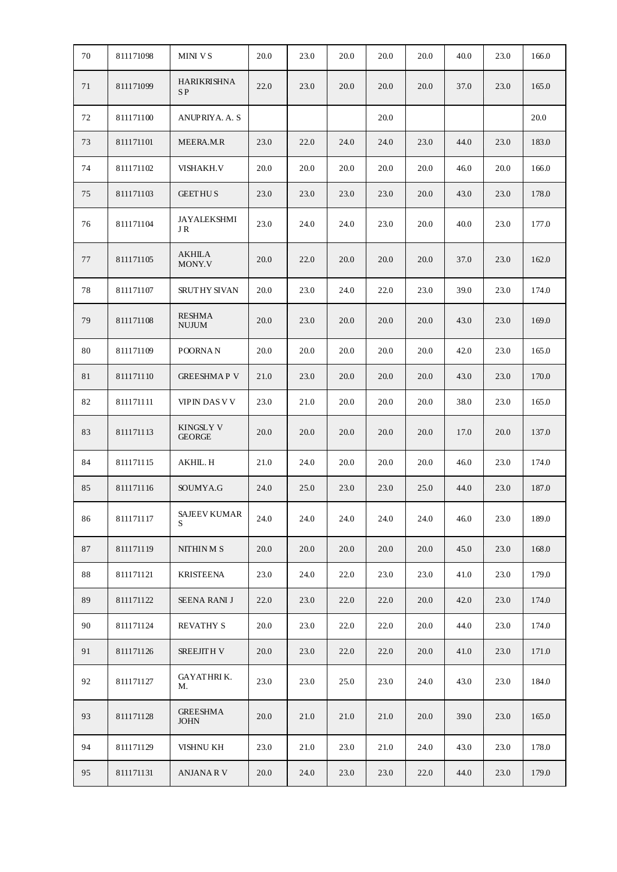| 70 | 811171098 | <b>MINI VS</b>                    | 20.0 | 23.0 | 20.0 | 20.0 | 20.0 | 40.0 | 23.0 | 166.0 |
|----|-----------|-----------------------------------|------|------|------|------|------|------|------|-------|
| 71 | 811171099 | <b>HARIKRISHNA</b><br>SP          | 22.0 | 23.0 | 20.0 | 20.0 | 20.0 | 37.0 | 23.0 | 165.0 |
| 72 | 811171100 | <b>ANUPRIYA. A. S</b>             |      |      |      | 20.0 |      |      |      | 20.0  |
| 73 | 811171101 | MEERA.M.R                         | 23.0 | 22.0 | 24.0 | 24.0 | 23.0 | 44.0 | 23.0 | 183.0 |
| 74 | 811171102 | <b>VISHAKH.V</b>                  | 20.0 | 20.0 | 20.0 | 20.0 | 20.0 | 46.0 | 20.0 | 166.0 |
| 75 | 811171103 | <b>GEETHUS</b>                    | 23.0 | 23.0 | 23.0 | 23.0 | 20.0 | 43.0 | 23.0 | 178.0 |
| 76 | 811171104 | <b>JAYALEKSHMI</b><br>J R         | 23.0 | 24.0 | 24.0 | 23.0 | 20.0 | 40.0 | 23.0 | 177.0 |
| 77 | 811171105 | <b>AKHILA</b><br>MONY.V           | 20.0 | 22.0 | 20.0 | 20.0 | 20.0 | 37.0 | 23.0 | 162.0 |
| 78 | 811171107 | <b>SRUTHY SIVAN</b>               | 20.0 | 23.0 | 24.0 | 22.0 | 23.0 | 39.0 | 23.0 | 174.0 |
| 79 | 811171108 | <b>RESHMA</b><br><b>NUJUM</b>     | 20.0 | 23.0 | 20.0 | 20.0 | 20.0 | 43.0 | 23.0 | 169.0 |
| 80 | 811171109 | POORNA <sub>N</sub>               | 20.0 | 20.0 | 20.0 | 20.0 | 20.0 | 42.0 | 23.0 | 165.0 |
| 81 | 811171110 | <b>GREESHMAP V</b>                | 21.0 | 23.0 | 20.0 | 20.0 | 20.0 | 43.0 | 23.0 | 170.0 |
| 82 | 811171111 | <b>VIPIN DAS V V</b>              | 23.0 | 21.0 | 20.0 | 20.0 | 20.0 | 38.0 | 23.0 | 165.0 |
| 83 | 811171113 | <b>KINGSLY V</b><br><b>GEORGE</b> | 20.0 | 20.0 | 20.0 | 20.0 | 20.0 | 17.0 | 20.0 | 137.0 |
| 84 | 811171115 | AKHIL. H                          | 21.0 | 24.0 | 20.0 | 20.0 | 20.0 | 46.0 | 23.0 | 174.0 |
| 85 | 811171116 | SOUMYA.G                          | 24.0 | 25.0 | 23.0 | 23.0 | 25.0 | 44.0 | 23.0 | 187.0 |
| 86 | 811171117 | <b>SAJEEV KUMAR</b><br>S          | 24.0 | 24.0 | 24.0 | 24.0 | 24.0 | 46.0 | 23.0 | 189.0 |
| 87 | 811171119 | NITHIN M S                        | 20.0 | 20.0 | 20.0 | 20.0 | 20.0 | 45.0 | 23.0 | 168.0 |
| 88 | 811171121 | <b>KRISTEENA</b>                  | 23.0 | 24.0 | 22.0 | 23.0 | 23.0 | 41.0 | 23.0 | 179.0 |
| 89 | 811171122 | <b>SEENA RANI J</b>               | 22.0 | 23.0 | 22.0 | 22.0 | 20.0 | 42.0 | 23.0 | 174.0 |
| 90 | 811171124 | <b>REVATHY S</b>                  | 20.0 | 23.0 | 22.0 | 22.0 | 20.0 | 44.0 | 23.0 | 174.0 |
| 91 | 811171126 | <b>SREEJITH V</b>                 | 20.0 | 23.0 | 22.0 | 22.0 | 20.0 | 41.0 | 23.0 | 171.0 |
| 92 | 811171127 | <b>GAYATHRIK.</b><br>М.           | 23.0 | 23.0 | 25.0 | 23.0 | 24.0 | 43.0 | 23.0 | 184.0 |
| 93 | 811171128 | <b>GREESHMA</b><br>JOHN           | 20.0 | 21.0 | 21.0 | 21.0 | 20.0 | 39.0 | 23.0 | 165.0 |
| 94 | 811171129 | VISHNU KH                         | 23.0 | 21.0 | 23.0 | 21.0 | 24.0 | 43.0 | 23.0 | 178.0 |
| 95 | 811171131 | ANJANA R V                        | 20.0 | 24.0 | 23.0 | 23.0 | 22.0 | 44.0 | 23.0 | 179.0 |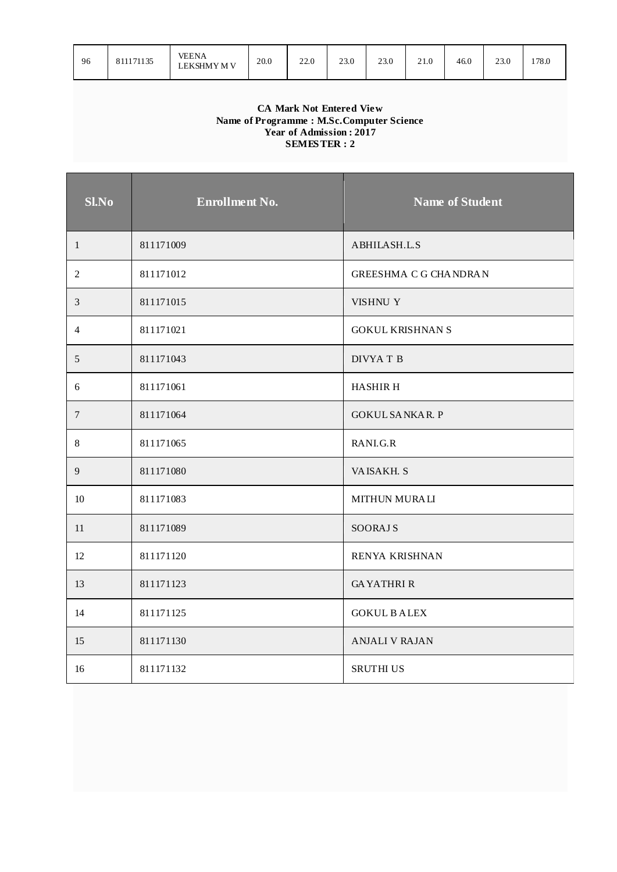| 96 | 11171135<br>81<br>. <del>.</del> | VEENA<br>LEKSHMY M V | 20.0 | 220<br>22.0 | 23.0<br>. | າາ ດ<br>25.U | ົາ 1<br>21.V | 46.0 | 23.0 | 178.0 |
|----|----------------------------------|----------------------|------|-------------|-----------|--------------|--------------|------|------|-------|
|----|----------------------------------|----------------------|------|-------------|-----------|--------------|--------------|------|------|-------|

#### **CA Mark Not Entered View Name of Programme : M.Sc.Computer Science Year of Admission : 2017 SEMES TER : 2**

| Sl.No          | <b>Enrollment No.</b> | <b>Name of Student</b>       |
|----------------|-----------------------|------------------------------|
| 1              | 811171009             | ABHILASH.L.S                 |
| 2              | 811171012             | <b>GREESHMA C G CHANDRAN</b> |
| $\mathfrak{Z}$ | 811171015             | VISHNU Y                     |
| $\overline{4}$ | 811171021             | <b>GOKUL KRISHNAN S</b>      |
| 5              | 811171043             | DIVYA T B                    |
| 6              | 811171061             | <b>HASHIRH</b>               |
| $\tau$         | 811171064             | <b>GOKUL SANKAR. P</b>       |
| $\,8\,$        | 811171065             | RANI.G.R                     |
| $\overline{9}$ | 811171080             | VAISAKH. S                   |
| 10             | 811171083             | <b>MITHUN MURALI</b>         |
| 11             | 811171089             | <b>SOORAJ S</b>              |
| 12             | 811171120             | RENYA KRISHNAN               |
| 13             | 811171123             | <b>GAYATHRIR</b>             |
| 14             | 811171125             | <b>GOKUL BALEX</b>           |
| 15             | 811171130             | <b>ANJALI V RAJAN</b>        |
| 16             | 811171132             | <b>SRUTHI US</b>             |